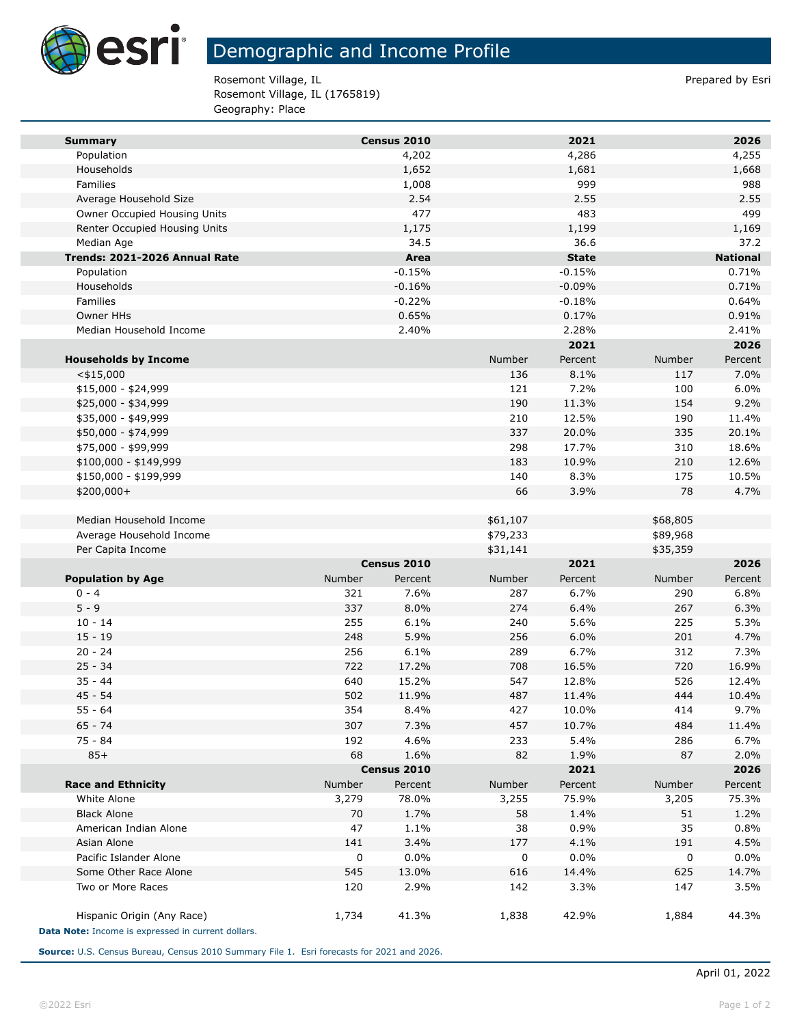

## Demographic and Income Profile

Rosemont Village, IL **Prepared by Estimate and Prepared by Estimate** Prepared by Esri Rosemont Village, IL (1765819) Geography: Place

| <b>Summary</b>                                     |        | Census 2010 |          | 2021         |          | 2026            |
|----------------------------------------------------|--------|-------------|----------|--------------|----------|-----------------|
| Population                                         |        | 4,202       |          | 4,286        |          | 4,255           |
| Households                                         |        | 1,652       |          | 1,681        |          | 1,668           |
| Families                                           |        | 1,008       |          | 999          |          | 988             |
| Average Household Size                             |        | 2.54        |          | 2.55         |          | 2.55            |
| Owner Occupied Housing Units                       |        | 477         |          | 483          |          | 499             |
| Renter Occupied Housing Units                      |        | 1,175       |          | 1,199        |          | 1,169           |
| Median Age                                         |        | 34.5        |          | 36.6         |          | 37.2            |
| Trends: 2021-2026 Annual Rate                      |        | Area        |          | <b>State</b> |          | <b>National</b> |
| Population                                         |        | $-0.15%$    |          | $-0.15%$     |          | 0.71%           |
| Households                                         |        | $-0.16%$    |          | $-0.09%$     |          | 0.71%           |
| <b>Families</b>                                    |        | $-0.22%$    |          | $-0.18%$     |          | 0.64%           |
| Owner HHs                                          |        | 0.65%       |          | 0.17%        |          | 0.91%           |
| Median Household Income                            |        | 2.40%       |          | 2.28%        |          | 2.41%           |
|                                                    |        |             |          | 2021         |          | 2026            |
| <b>Households by Income</b>                        |        |             | Number   | Percent      | Number   | Percent         |
| $<$ \$15,000                                       |        |             | 136      | 8.1%         | 117      | 7.0%            |
| $$15,000 - $24,999$                                |        |             | 121      | 7.2%         | 100      | 6.0%            |
| \$25,000 - \$34,999                                |        |             | 190      | 11.3%        | 154      | 9.2%            |
| \$35,000 - \$49,999                                |        |             | 210      | 12.5%        | 190      | 11.4%           |
| \$50,000 - \$74,999                                |        |             | 337      | 20.0%        | 335      | 20.1%           |
| \$75,000 - \$99,999                                |        |             | 298      | 17.7%        | 310      | 18.6%           |
| \$100,000 - \$149,999                              |        |             | 183      | 10.9%        | 210      | 12.6%           |
| \$150,000 - \$199,999                              |        |             | 140      | 8.3%         | 175      | 10.5%           |
| \$200,000+                                         |        |             | 66       | 3.9%         | 78       | 4.7%            |
|                                                    |        |             |          |              |          |                 |
| Median Household Income                            |        |             | \$61,107 |              | \$68,805 |                 |
| Average Household Income                           |        |             | \$79,233 |              | \$89,968 |                 |
| Per Capita Income                                  |        |             | \$31,141 |              | \$35,359 |                 |
|                                                    |        | Census 2010 |          | 2021         |          | 2026            |
| <b>Population by Age</b>                           | Number | Percent     | Number   | Percent      | Number   | Percent         |
| $0 - 4$                                            | 321    | 7.6%        | 287      | 6.7%         | 290      | 6.8%            |
| $5 - 9$                                            | 337    | 8.0%        | 274      | 6.4%         | 267      | 6.3%            |
| $10 - 14$                                          | 255    | 6.1%        | 240      | 5.6%         | 225      | 5.3%            |
| $15 - 19$                                          | 248    | 5.9%        | 256      | 6.0%         | 201      | 4.7%            |
| $20 - 24$                                          | 256    | 6.1%        | 289      | 6.7%         | 312      | 7.3%            |
| $25 - 34$                                          | 722    | 17.2%       | 708      | 16.5%        | 720      | 16.9%           |
| $35 - 44$                                          | 640    | 15.2%       | 547      | 12.8%        | 526      | 12.4%           |
| $45 - 54$                                          | 502    | 11.9%       | 487      | 11.4%        | 444      | 10.4%           |
| 55 - 64                                            | 354    | $8.4\%$     | 427      | 10.0%        | 414      | $9.7\%$         |
| $65 - 74$                                          | 307    | 7.3%        | 457      | 10.7%        | 484      | 11.4%           |
| 75 - 84                                            | 192    | 4.6%        | 233      | 5.4%         | 286      | 6.7%            |
| $85+$                                              | 68     | 1.6%        | 82       | 1.9%         | 87       | 2.0%            |
|                                                    |        | Census 2010 |          | 2021         |          | 2026            |
| <b>Race and Ethnicity</b>                          | Number | Percent     | Number   | Percent      | Number   | Percent         |
| White Alone                                        | 3,279  | 78.0%       | 3,255    | 75.9%        | 3,205    | 75.3%           |
| <b>Black Alone</b>                                 | 70     | 1.7%        | 58       | 1.4%         | 51       | 1.2%            |
| American Indian Alone                              | 47     | 1.1%        | 38       | 0.9%         | 35       | 0.8%            |
| Asian Alone                                        | 141    | 3.4%        | 177      | 4.1%         | 191      | 4.5%            |
| Pacific Islander Alone                             | 0      | 0.0%        | 0        | 0.0%         | 0        | 0.0%            |
| Some Other Race Alone                              | 545    | 13.0%       | 616      | 14.4%        | 625      | 14.7%           |
| Two or More Races                                  | 120    | 2.9%        | 142      | 3.3%         | 147      | 3.5%            |
| Hispanic Origin (Any Race)                         | 1,734  | 41.3%       | 1,838    | 42.9%        | 1,884    | 44.3%           |
| Data Note: Income is expressed in current dollars. |        |             |          |              |          |                 |

**Source:** U.S. Census Bureau, Census 2010 Summary File 1. Esri forecasts for 2021 and 2026.